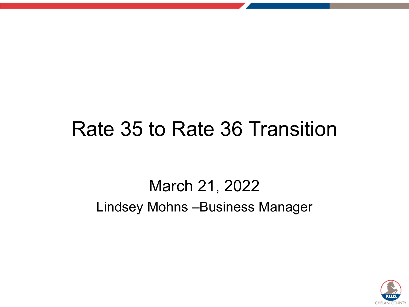#### Rate 35 to Rate 36 Transition

#### March 21, 2022 Lindsey Mohns –Business Manager

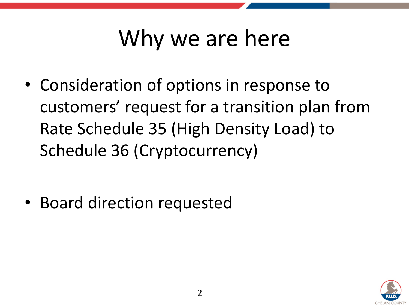## Why we are here

• Consideration of options in response to customers' request for a transition plan from Rate Schedule 35 (High Density Load) to Schedule 36 (Cryptocurrency)

• Board direction requested

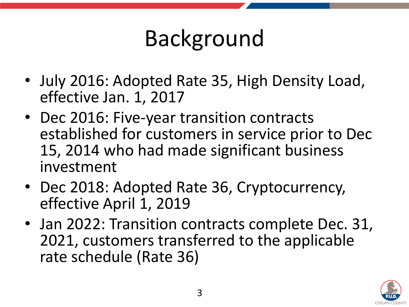### Background

- July 2016: Adopted Rate 35, High Density Load, effective Jan. 1, 2017
- Dec 2016: Five-year transition contracts established for customers in service prior to Dec 15, 2014 who had made significant business investment
- Dec 2018: Adopted Rate 36, Cryptocurrency, effective April 1, 2019
- Jan 2022: Transition contracts complete Dec. 31, 2021, customers transferred to the applicable rate schedule (Rate 36)

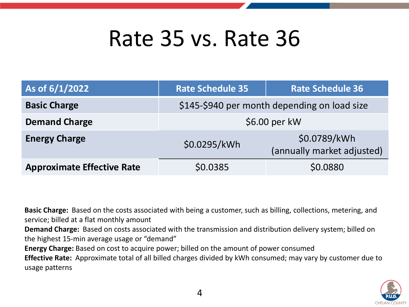#### Rate 35 vs. Rate 36

| As of 6/1/2022                    | <b>Rate Schedule 35</b>                      | <b>Rate Schedule 36</b>                    |  |  |  |  |  |
|-----------------------------------|----------------------------------------------|--------------------------------------------|--|--|--|--|--|
| <b>Basic Charge</b>               | \$145-\$940 per month depending on load size |                                            |  |  |  |  |  |
| <b>Demand Charge</b>              | \$6.00 per kW                                |                                            |  |  |  |  |  |
| <b>Energy Charge</b>              | \$0.0295/kWh                                 | \$0.0789/kWh<br>(annually market adjusted) |  |  |  |  |  |
| <b>Approximate Effective Rate</b> | \$0.0385                                     | \$0.0880                                   |  |  |  |  |  |

**Basic Charge:** Based on the costs associated with being a customer, such as billing, collections, metering, and service; billed at a flat monthly amount

**Demand Charge:** Based on costs associated with the transmission and distribution delivery system; billed on the highest 15-min average usage or "demand"

**Energy Charge:** Based on cost to acquire power; billed on the amount of power consumed

**Effective Rate:** Approximate total of all billed charges divided by kWh consumed; may vary by customer due to usage patterns

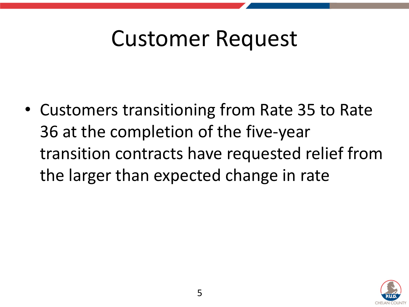#### Customer Request

• Customers transitioning from Rate 35 to Rate 36 at the completion of the five-year transition contracts have requested relief from the larger than expected change in rate

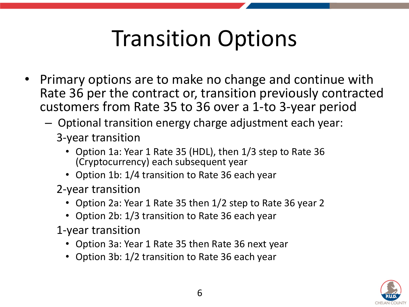## Transition Options

- Primary options are to make no change and continue with Rate 36 per the contract or, transition previously contracted customers from Rate 35 to 36 over a 1-to 3-year period
	- Optional transition energy charge adjustment each year:
		- 3-year transition
			- Option 1a: Year 1 Rate 35 (HDL), then 1/3 step to Rate 36 (Cryptocurrency) each subsequent year
			- Option 1b: 1/4 transition to Rate 36 each year
		- 2-year transition
			- Option 2a: Year 1 Rate 35 then 1/2 step to Rate 36 year 2
			- Option 2b: 1/3 transition to Rate 36 each year
		- 1-year transition
			- Option 3a: Year 1 Rate 35 then Rate 36 next year
			- Option 3b: 1/2 transition to Rate 36 each year

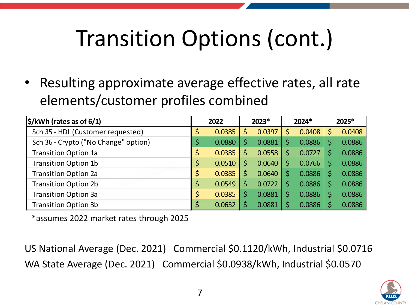# Transition Options (cont.)

Resulting approximate average effective rates, all rate elements/customer profiles combined

| $\frac{\sin(6/1)}{\sin(6/1)}$        | 2022         |   | 2023*  | 2024*  | 2025* |        |
|--------------------------------------|--------------|---|--------|--------|-------|--------|
| Sch 35 - HDL (Customer requested)    | 0.0385       |   | 0.0397 | 0.0408 | Ś     | 0.0408 |
| Sch 36 - Crypto ("No Change" option) | \$<br>0.0880 | Ś | 0.0881 | 0.0886 |       | 0.0886 |
| <b>Transition Option 1a</b>          | \$<br>0.0385 | Ś | 0.0558 | 0.0727 | Ś     | 0.0886 |
| <b>Transition Option 1b</b>          | \$<br>0.0510 | Ś | 0.0640 | 0.0766 |       | 0.0886 |
| <b>Transition Option 2a</b>          | \$<br>0.0385 |   | 0.0640 | 0.0886 |       | 0.0886 |
| <b>Transition Option 2b</b>          | \$<br>0.0549 | Ś | 0.0722 | 0.0886 | S     | 0.0886 |
| <b>Transition Option 3a</b>          | \$<br>0.0385 |   | 0.0881 | 0.0886 |       | 0.0886 |
| <b>Transition Option 3b</b>          | 0.0632       |   | 0.0881 | 0.0886 |       | 0.0886 |

\*assumes 2022 market rates through 2025

US National Average (Dec. 2021) Commercial \$0.1120/kWh, Industrial \$0.0716 WA State Average (Dec. 2021) Commercial \$0.0938/kWh, Industrial \$0.0570

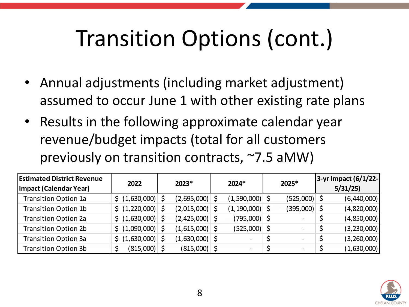# Transition Options (cont.)

- Annual adjustments (including market adjustment) assumed to occur June 1 with other existing rate plans
- Results in the following approximate calendar year revenue/budget impacts (total for all customers previously on transition contracts, ~7.5 aMW)

| <b>Estimated District Revenue</b><br>Impact (Calendar Year) | 2022                                    | 2023*            | 2024* |                          |                          |  | 2025*       | 3-yr Impact (6/1/22-<br>5/31/25 |  |  |
|-------------------------------------------------------------|-----------------------------------------|------------------|-------|--------------------------|--------------------------|--|-------------|---------------------------------|--|--|
| <b>Transition Option 1a</b>                                 | $\frac{1}{2}$ (1,630,000) $\frac{1}{2}$ | $(2,695,000)$ \$ |       | $(1,590,000)$ \$         | $(525,000)$ \$           |  | (6,440,000) |                                 |  |  |
| <b>Transition Option 1b</b>                                 | $\frac{1}{2}$ (1,220,000) \$            | $(2,015,000)$ \$ |       | $(1,190,000)$ \$         | $(395,000)$ \$           |  | (4,820,000) |                                 |  |  |
| <b>Transition Option 2a</b>                                 | $\frac{1}{2}$ (1,630,000) $\frac{1}{2}$ | $(2,425,000)$ \$ |       | $(795,000)$ \$           |                          |  | (4,850,000) |                                 |  |  |
| <b>Transition Option 2b</b>                                 | $\frac{1}{2}$ (1,090,000) \$            | $(1,615,000)$ \$ |       | $(525,000)$ \$           |                          |  | (3,230,000) |                                 |  |  |
| <b>Transition Option 3a</b>                                 | $\frac{1}{2}$ (1,630,000) \$            | $(1,630,000)$ \$ |       |                          | $\overline{\phantom{0}}$ |  | (3,260,000) |                                 |  |  |
| <b>Transition Option 3b</b>                                 | $(815,000)$ \$                          | $(815,000)$ \$   |       | $\overline{\phantom{a}}$ | $\overline{\phantom{a}}$ |  | (1,630,000) |                                 |  |  |

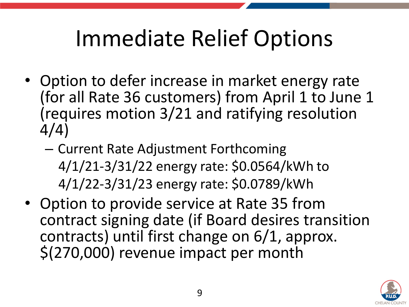#### Immediate Relief Options

- Option to defer increase in market energy rate (for all Rate 36 customers) from April 1 to June 1 (requires motion 3/21 and ratifying resolution 4/4)
	- Current Rate Adjustment Forthcoming 4/1/21-3/31/22 energy rate: \$0.0564/kWh to 4/1/22-3/31/23 energy rate: \$0.0789/kWh
- Option to provide service at Rate 35 from contract signing date (if Board desires transition contracts) until first change on 6/1, approx. \$(270,000) revenue impact per month